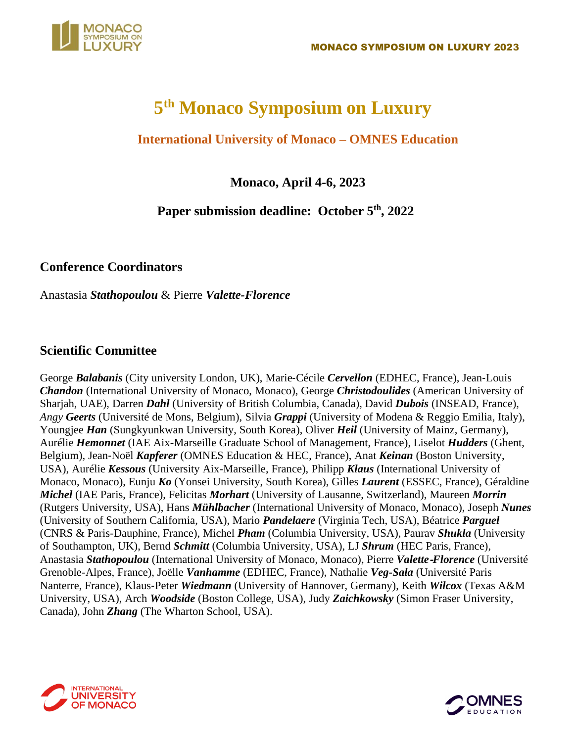

# **5 th Monaco Symposium on Luxury**

## **International University of Monaco – OMNES Education**

**Monaco, April 4-6, 2023**

### **Paper submission deadline: October 5 th , 2022**

#### **Conference Coordinators**

Anastasia *Stathopoulou* & Pierre *Valette-Florence*

#### **Scientific Committee**

George *Balabanis* (City university London, UK), Marie‐Cécile *Cervellon* (EDHEC, France), Jean‐Louis *Chandon* (International University of Monaco, Monaco), George *Christodoulides* (American University of Sharjah, UAE), Darren *Dahl* (University of British Columbia, Canada), David *Dubois* (INSEAD, France), *Angy Geerts* (Université de Mons, Belgium), Silvia *Grappi* (University of Modena & Reggio Emilia, Italy), Youngjee *Han* (Sungkyunkwan University, South Korea), Oliver *Heil* (University of Mainz, Germany), Aurélie *Hemonnet* (IAE Aix-Marseille Graduate School of Management, France), Liselot *Hudders* (Ghent, Belgium), Jean‐Noël *Kapferer* (OMNES Education & HEC, France), Anat *Keinan* (Boston University, USA), Aurélie *Kessous* (University Aix-Marseille, France), Philipp *Klaus* (International University of Monaco, Monaco), Eunju *Ko* (Yonsei University, South Korea), Gilles *Laurent* (ESSEC, France), Géraldine *Michel* (IAE Paris, France), Felicitas *Morhart* (University of Lausanne, Switzerland), Maureen *Morrin* (Rutgers University, USA), Hans *Mühlbacher* (International University of Monaco, Monaco), Joseph *Nunes* (University of Southern California, USA), Mario *Pandelaere* (Virginia Tech, USA), Béatrice *Parguel* (CNRS & Paris-Dauphine, France), Michel *Pham* (Columbia University, USA), Paurav *Shukla* (University of Southampton, UK), Bernd *Schmitt* (Columbia University, USA), LJ *Shrum* (HEC Paris, France), Anastasia *Stathopoulou* (International University of Monaco, Monaco), Pierre *Valette*‐*Florence* (Université Grenoble-Alpes, France), Joëlle *Vanhamme* (EDHEC, France), Nathalie *Veg-Sala* (Université Paris Nanterre, France), Klaus‐Peter *Wiedmann* (University of Hannover, Germany), Keith *Wilcox* (Texas A&M University, USA), Arch *Woodside* (Boston College, USA), Judy *Zaichkowsky* (Simon Fraser University, Canada), John *Zhang* (The Wharton School, USA).



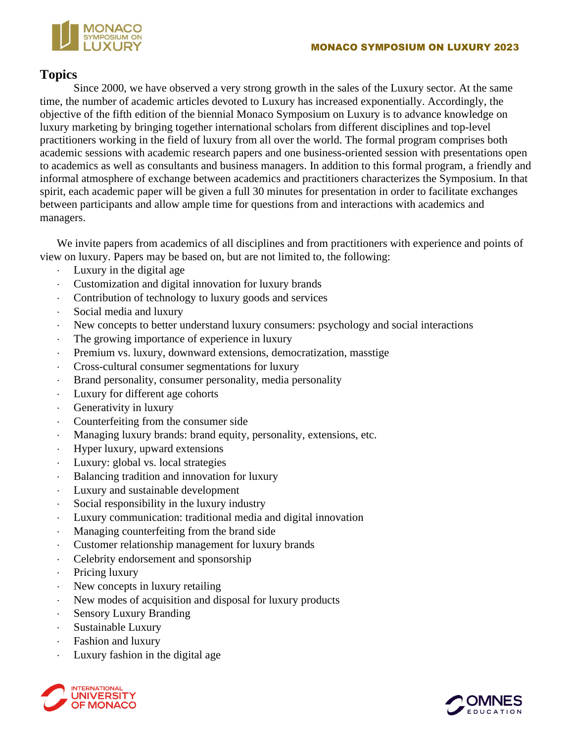

#### **Topics**

Since 2000, we have observed a very strong growth in the sales of the Luxury sector. At the same time, the number of academic articles devoted to Luxury has increased exponentially. Accordingly, the objective of the fifth edition of the biennial Monaco Symposium on Luxury is to advance knowledge on luxury marketing by bringing together international scholars from different disciplines and top-level practitioners working in the field of luxury from all over the world. The formal program comprises both academic sessions with academic research papers and one business-oriented session with presentations open to academics as well as consultants and business managers. In addition to this formal program, a friendly and informal atmosphere of exchange between academics and practitioners characterizes the Symposium. In that spirit, each academic paper will be given a full 30 minutes for presentation in order to facilitate exchanges between participants and allow ample time for questions from and interactions with academics and managers.

We invite papers from academics of all disciplines and from practitioners with experience and points of view on luxury. Papers may be based on, but are not limited to, the following:

- Luxury in the digital age
- Customization and digital innovation for luxury brands
- Contribution of technology to luxury goods and services
- Social media and luxury
- New concepts to better understand luxury consumers: psychology and social interactions
- The growing importance of experience in luxury
- Premium vs. luxury, downward extensions, democratization, masstige
- Cross-cultural consumer segmentations for luxury
- Brand personality, consumer personality, media personality
- Luxury for different age cohorts
- Generativity in luxury
- Counterfeiting from the consumer side
- Managing luxury brands: brand equity, personality, extensions, etc.
- Hyper luxury, upward extensions
- Luxury: global vs. local strategies
- Balancing tradition and innovation for luxury
- Luxury and sustainable development
- Social responsibility in the luxury industry
- Luxury communication: traditional media and digital innovation
- Managing counterfeiting from the brand side
- Customer relationship management for luxury brands
- Celebrity endorsement and sponsorship
- Pricing luxury
- New concepts in luxury retailing
- New modes of acquisition and disposal for luxury products
- Sensory Luxury Branding
- Sustainable Luxury
- Fashion and luxury
- Luxury fashion in the digital age



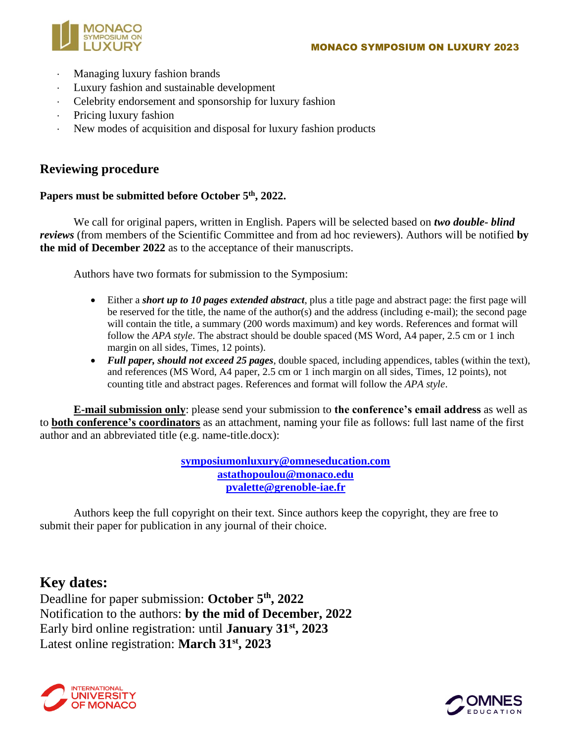

- Managing luxury fashion brands
- Luxury fashion and sustainable development
- Celebrity endorsement and sponsorship for luxury fashion
- Pricing luxury fashion
- New modes of acquisition and disposal for luxury fashion products

## **Reviewing procedure**

#### **Papers must be submitted before October 5 th , 2022.**

We call for original papers, written in English. Papers will be selected based on *two double- blind reviews* (from members of the Scientific Committee and from ad hoc reviewers). Authors will be notified **by the mid of December 2022** as to the acceptance of their manuscripts.

Authors have two formats for submission to the Symposium:

- Either a *short up to 10 pages extended abstract*, plus a title page and abstract page: the first page will be reserved for the title, the name of the author(s) and the address (including e-mail); the second page will contain the title, a summary (200 words maximum) and key words. References and format will follow the *APA style*. The abstract should be double spaced (MS Word, A4 paper, 2.5 cm or 1 inch margin on all sides, Times, 12 points).
- *Full paper, should not exceed 25 pages*, double spaced, including appendices, tables (within the text), and references (MS Word, A4 paper, 2.5 cm or 1 inch margin on all sides, Times, 12 points), not counting title and abstract pages. References and format will follow the *APA style*.

**E-mail submission only**: please send your submission to **the conference's email address** as well as to **both conference's coordinators** as an attachment, naming your file as follows: full last name of the first author and an abbreviated title (e.g. name-title.docx):

> **[symposiumonluxury@omneseducation.com](mailto:symposiumonluxury@omneseducation.com) [astathopoulou@monaco.edu](mailto:astathopoulou@monaco.edu) [pvalette@grenoble-iae.fr](mailto:pvalette@grenoble-iae.fr)**

Authors keep the full copyright on their text. Since authors keep the copyright, they are free to submit their paper for publication in any journal of their choice.

## **Key dates:**

Deadline for paper submission: **October 5th, 2022** Notification to the authors: **by the mid of December, 2022** Early bird online registration: until **January 31st, 2023** Latest online registration: **March 31st, 2023**